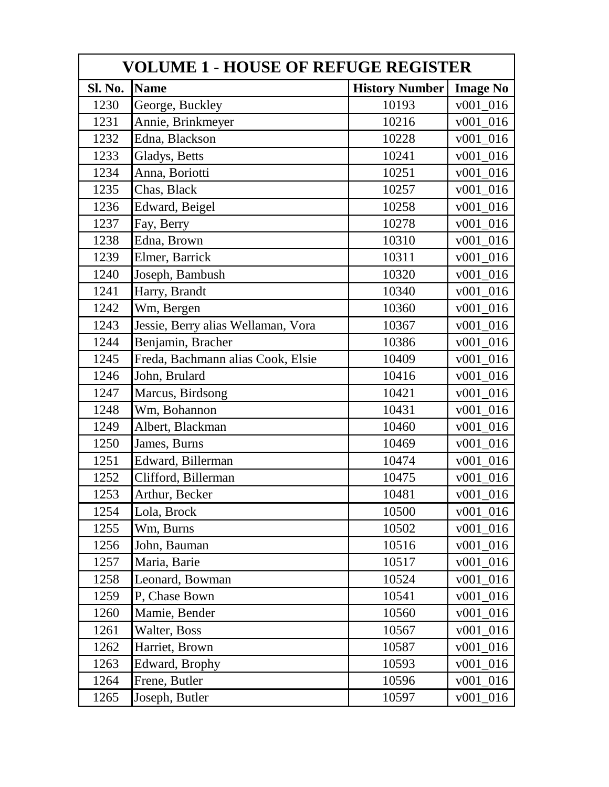| <b>VOLUME 1 - HOUSE OF REFUGE REGISTER</b> |                                    |                       |                 |  |
|--------------------------------------------|------------------------------------|-----------------------|-----------------|--|
| Sl. No.                                    | <b>Name</b>                        | <b>History Number</b> | <b>Image No</b> |  |
| 1230                                       | George, Buckley                    | 10193                 | $v001_016$      |  |
| 1231                                       | Annie, Brinkmeyer                  | 10216                 | v001 016        |  |
| 1232                                       | Edna, Blackson                     | 10228                 | $v001_016$      |  |
| 1233                                       | Gladys, Betts                      | 10241                 | $v001_016$      |  |
| 1234                                       | Anna, Boriotti                     | 10251                 | $v001_016$      |  |
| 1235                                       | Chas, Black                        | 10257                 | v001 016        |  |
| 1236                                       | Edward, Beigel                     | 10258                 | $v001_016$      |  |
| 1237                                       | Fay, Berry                         | 10278                 | $v001_016$      |  |
| 1238                                       | Edna, Brown                        | 10310                 | $v001_016$      |  |
| 1239                                       | Elmer, Barrick                     | 10311                 | $v001_016$      |  |
| 1240                                       | Joseph, Bambush                    | 10320                 | $v001_016$      |  |
| 1241                                       | Harry, Brandt                      | 10340                 | $v001_016$      |  |
| 1242                                       | Wm, Bergen                         | 10360                 | $v001_016$      |  |
| 1243                                       | Jessie, Berry alias Wellaman, Vora | 10367                 | $v001_016$      |  |
| 1244                                       | Benjamin, Bracher                  | 10386                 | $v001_016$      |  |
| 1245                                       | Freda, Bachmann alias Cook, Elsie  | 10409                 | $v001_016$      |  |
| 1246                                       | John, Brulard                      | 10416                 | $v001_016$      |  |
| 1247                                       | Marcus, Birdsong                   | 10421                 | $v001_016$      |  |
| 1248                                       | Wm, Bohannon                       | 10431                 | $v001_016$      |  |
| 1249                                       | Albert, Blackman                   | 10460                 | $v001_016$      |  |
| 1250                                       | James, Burns                       | 10469                 | $v001_016$      |  |
| 1251                                       | Edward, Billerman                  | 10474                 | $v001_016$      |  |
| 1252                                       | Clifford, Billerman                | 10475                 | $v001_016$      |  |
| 1253                                       | Arthur, Becker                     | 10481                 | $v001_016$      |  |
| 1254                                       | Lola, Brock                        | 10500                 | $v001_016$      |  |
| 1255                                       | Wm, Burns                          | 10502                 | $v001_016$      |  |
| 1256                                       | John, Bauman                       | 10516                 | $v001_016$      |  |
| 1257                                       | Maria, Barie                       | 10517                 | $v001_016$      |  |
| 1258                                       | Leonard, Bowman                    | 10524                 | $v001_016$      |  |
| 1259                                       | P, Chase Bown                      | 10541                 | $v001_016$      |  |
| 1260                                       | Mamie, Bender                      | 10560                 | v001 016        |  |
| 1261                                       | Walter, Boss                       | 10567                 | $v001_016$      |  |
| 1262                                       | Harriet, Brown                     | 10587                 | v001 016        |  |
| 1263                                       | Edward, Brophy                     | 10593                 | $v001_016$      |  |
| 1264                                       | Frene, Butler                      | 10596                 | $v001_016$      |  |
| 1265                                       | Joseph, Butler                     | 10597                 | $v001_016$      |  |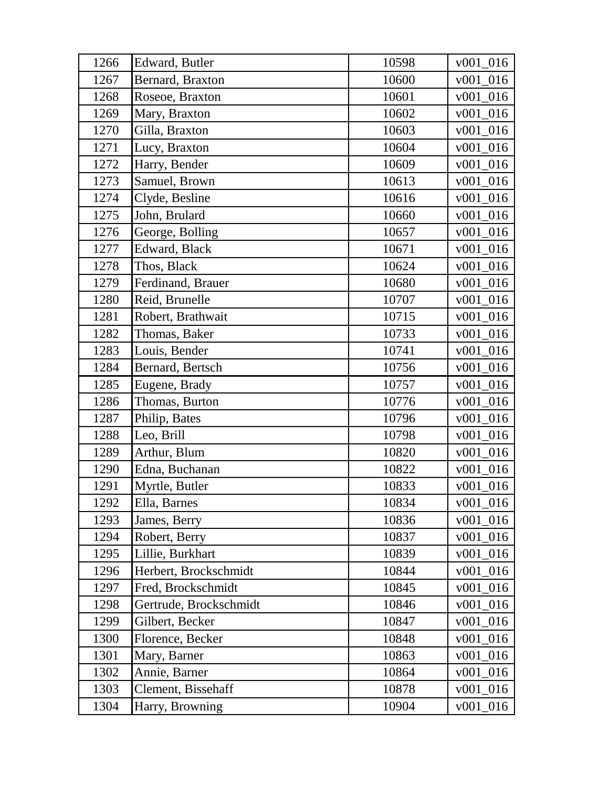| 1266 | Edward, Butler         | 10598 | $v001_016$ |
|------|------------------------|-------|------------|
| 1267 | Bernard, Braxton       | 10600 | $v001_016$ |
| 1268 | Roseoe, Braxton        | 10601 | v001 016   |
| 1269 | Mary, Braxton          | 10602 | $v001_016$ |
| 1270 | Gilla, Braxton         | 10603 | $v001_016$ |
| 1271 | Lucy, Braxton          | 10604 | $v001_016$ |
| 1272 | Harry, Bender          | 10609 | $v001_016$ |
| 1273 | Samuel, Brown          | 10613 | $v001_016$ |
| 1274 | Clyde, Besline         | 10616 | $v001_016$ |
| 1275 | John, Brulard          | 10660 | v001 016   |
| 1276 | George, Bolling        | 10657 | $v001_016$ |
| 1277 | Edward, Black          | 10671 | $v001_016$ |
| 1278 | Thos, Black            | 10624 | $v001_016$ |
| 1279 | Ferdinand, Brauer      | 10680 | $v001_016$ |
| 1280 | Reid, Brunelle         | 10707 | $v001_016$ |
| 1281 | Robert, Brathwait      | 10715 | v001 016   |
| 1282 | Thomas, Baker          | 10733 | $v001_016$ |
| 1283 | Louis, Bender          | 10741 | $v001_016$ |
| 1284 | Bernard, Bertsch       | 10756 | $v001_016$ |
| 1285 | Eugene, Brady          | 10757 | $v001_016$ |
| 1286 | Thomas, Burton         | 10776 | $v001_016$ |
| 1287 | Philip, Bates          | 10796 | $v001_016$ |
| 1288 | Leo, Brill             | 10798 | $v001_016$ |
| 1289 | Arthur, Blum           | 10820 | v001 016   |
| 1290 | Edna, Buchanan         | 10822 | $v001_016$ |
| 1291 | Myrtle, Butler         | 10833 | $v001_016$ |
| 1292 | Ella, Barnes           | 10834 | $v001_016$ |
| 1293 | James, Berry           | 10836 | $v001_016$ |
| 1294 | Robert, Berry          | 10837 | $v001_016$ |
| 1295 | Lillie, Burkhart       | 10839 | $v001_016$ |
| 1296 | Herbert, Brockschmidt  | 10844 | $v001_016$ |
| 1297 | Fred, Brockschmidt     | 10845 | $v001_016$ |
| 1298 | Gertrude, Brockschmidt | 10846 | $v001_016$ |
| 1299 | Gilbert, Becker        | 10847 | $v001_016$ |
| 1300 | Florence, Becker       | 10848 | v001 016   |
| 1301 | Mary, Barner           | 10863 | $v001_016$ |
| 1302 | Annie, Barner          | 10864 | $v001_016$ |
| 1303 | Clement, Bissehaff     | 10878 | $v001_016$ |
| 1304 | Harry, Browning        | 10904 | $v001_016$ |